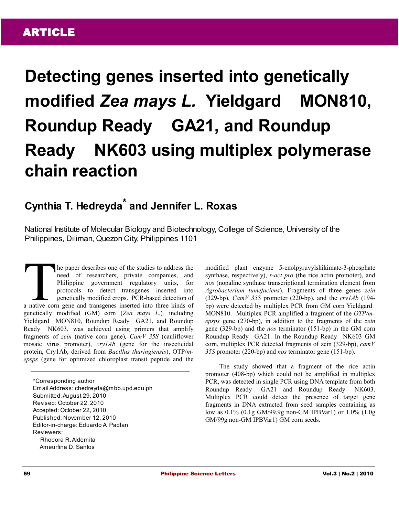# **Detecting genes inserted into genetically modified** *Zea mays L.* **Yieldgard MON810, Roundup Ready GA21, and Roundup Ready NK603 using multiplex polymerase chain reaction**

## **Cynthia T. Hedreyda\* and Jennifer L. Roxas**

National Institute of Molecular Biology and Biotechnology, College of Science, University of the Philippines, Diliman, Quezon City, Philippines 1101

he paper describes one of the studies to address the need of researchers, private companies, and Philippine government regulatory units, for protocols to detect transgenes inserted into genetically modified crops. PCR-based detection of The paper describes one of the studies to address the need of researchers, private companies, and Philippine government regulatory units, for protocols to detect transgenes inserted into genetically modified crops. PCR-bas genetically modified (GM) corn (*Zea mays L.*)*,* including Yieldgard<sup>®</sup> MON810, Roundup Ready® GA21, and Roundup Ready NK603, was achieved using primers that amplify fragments of *zein* (native corn gene)*, CamV 35S* (cauliflower mosaic virus promoter), *cry1Ab* (gene for the insecticidal protein, Cry1Ab, derived from *Bacillus thuringiensis*), OTP/*mepsps* (gene for optimized chloroplast transit peptide and the

\*Corresponding author Email Address: chedreyda@mbb.upd.edu.ph Submitted: August 29, 2010 Revised: October 22, 2010 Accepted: October 22, 2010 Published: November 12, 2010 Editor-in-charge: Eduardo A. Padlan Reviewers: Rhodora R. Aldemita Ameurfina D. Santos

modified plant enzyme 5-enolpyruvylshikimate-3-phosphate synthase, respectively), *r-act pro* (the rice actin promoter), and *nos* (nopaline synthase transcriptional termination element from *Agrobacterium tumefaciens*). Fragments of three genes *zein* (329-bp), *CamV 35S* promoter (220-bp), and the *cry1Ab* (194 bp) were detected by multiplex PCR from GM corn Yieldgard<sup>®</sup> MON810. Multiplex PCR amplified a fragment of the *OTP/mepsps* gene (270-bp), in addition to the fragments of the *zein* gene (329-bp) and the *nos* terminator (151-bp) in the GM corn Roundup Ready GA21. In the Roundup Ready NK603 GM corn, multiplex PCR detected fragments of zein (329-bp), *camV 35S* promoter (220-bp) and *nos* terminator gene (151-bp).

The study showed that a fragment of the rice actin promoter (408-bp) which could not be amplified in multiplex PCR, was detected in single PCR using DNA template from both Roundup Ready GA21 and Roundup Ready NK603. Multiplex PCR could detect the presence of target gene fragments in DNA extracted from seed samples containing as low as 0.1% (0.1g GM/99.9g non-GM IPBVar1) or 1.0% (1.0g GM/99g non-GM IPBVar1) GM corn seeds.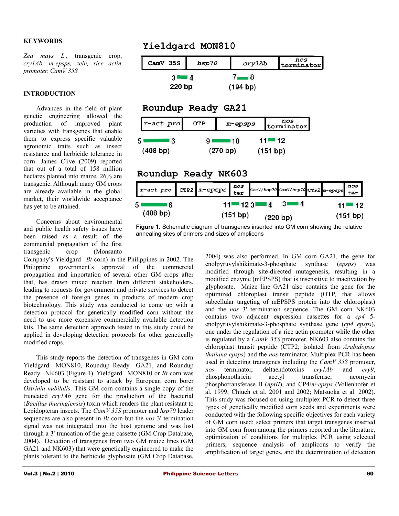#### **KEYWORDS**

*Zea mays L.,* transgenic crop, *cry1Ab, m-epsps, zein, rice actin promoter, CamV 35S*

#### **INTRODUCTION**

Advances in the field of plant genetic engineering allowed the production of improved plant varieties with transgenes that enable them to express specific valuable agronomic traits such as insect resistance and herbicide tolerance in corn. James Clive (2009) reported that out of a total of 158 million hectares planted into maize, 26% are transgenic. Although many GM crops are already available in the global market, their worldwide acceptance has yet to be attained.

Concerns about environmental and public health safety issues have been raised as a result of the commercial propagation of the first transgenic crop (Monsanto

Company's Yieldgard<sup>®</sup> Bt-corn) in the Philippines in 2002. The Philippine government's approval of the commercial propagation and importation of several other GM crops after that, has drawn mixed reaction from different stakeholders, leading to requests for government and private services to detect the presence of foreign genes in products of modern crop biotechnology. This study was conducted to come up with a detection protocol for genetically modified corn without the need to use more expensive commercially available detection kits. The same detection approach tested in this study could be applied in developing detection protocols for other genetically modified crops.

This study reports the detection of transgenes in GM corn Yieldgard<sup>®</sup> MON810, Roundup Ready® GA21, and Roundup Ready NK603 (Figure 1). Yieldgard MON810 or *Bt* corn was developed to be resistant to attack by European corn borer *Ostrinia nubilalis*. This GM corn contains a single copy of the truncated *cry1Ab* gene for the production of the bacterial (*Bacillus thuringiensis*) toxin which renders the plant resistant to Lepidopteran insects. The *CamV 35S* promoter and *hsp70* leader sequences are also present in *Bt* corn but the *nos* 3' termination signal was not integrated into the host genome and was lost through a 3' truncation of the gene cassette [\(GM Crop Database,](http://www.agbios.com/) [2004\)](http://www.agbios.com/). Detection of transgenes from two GM maize lines (GM GA21 and NK603) that were genetically engineered to make the plants tolerant to the herbicide glyphosate [\(GM Crop Database,](http://www.agbios.com/)

### Yieldgard MON810

| CamV 35S            | hsp70                                            | cry1Ab               |                       | nos<br>terminator                  |                         |
|---------------------|--------------------------------------------------|----------------------|-----------------------|------------------------------------|-------------------------|
| $3 - 4$<br>220 bp   |                                                  | $7 - 8$              |                       |                                    |                         |
| Roundup Ready GA21  |                                                  | (194 b)              |                       |                                    |                         |
| r-act pro           | OTP                                              | m-epsps              | nos<br>terminator     |                                    |                         |
| 6<br>5.<br>(408 bp) | 9 <sup>1</sup><br>$\blacksquare$ 10<br>(270 b p) |                      | $11 = 12$<br>(151 bp) |                                    |                         |
| Roundup Ready NK603 |                                                  |                      |                       |                                    |                         |
| r-act pro           | CTP2 m-epsps                                     | nos<br>ter           |                       | CamV/hsp70 CamV/hsp70 CTP2 m-epsps | nos<br>ter              |
| 6<br>5<br>(408 bp)  | 11!                                              | ■ 12 3 !<br>(151 bp) | 31<br>4<br>(220 bp)   | 14                                 | ■ 12<br>11!<br>(151 bp) |

**Figure 1.** Schematic diagram of transgenes inserted into GM corn showing the relative annealing sites of primers and sizes of amplicons

[2004\)](http://www.agbios.com/) was also performed. In GM corn GA21, the gene for enolpyruvylshikimate-3-phosphate synthase (*epsps*) was modified through site-directed mutagenesis, resulting in a modified enzyme (mEPSPS) that is insensitive to inactivation by glyphosate. Maize line GA21 also contains the gene for the optimized chloroplast transit peptide (OTP, that allows subcellular targeting of mEPSPS protein into the chloroplast) and the *nos* 3' termination sequence. The GM corn NK603 contains two adjacent expression cassettes for a *cp4* 5 enolpyruvylshikimate-3-phosphate synthase gene (*cp4 epsps*), one under the regulation of a rice actin promoter while the other is regulated by a *CamV 35S* promoter. NK603 also contains the chloroplast transit peptide (CTP2; isolated from *Arabidopsis thaliana epsps*) and the *nos* terminator. Multiplex PCR has been used in detecting transgenes including the *CamV 35S* promoter, *nos* terminator, deltaendotoxins *cry1Ab* and *cry9*, phosphonothricin acetyl transferase, neomycin phosphotransferase II (*nptII*), and CP4/*m-epsps* (Vollenhofer et al. 1999; Chiueh et al. 2001 and 2002; Matsuoka et al. 2002). This study was focused on using multiplex PCR to detect three types of genetically modified corn seeds and experiments were conducted with the following specific objectives for each variety of GM corn used: select primers that target transgenes inserted into GM corn from among the primers reported in the literature, optimization of conditions for multiplex PCR using selected primers, sequence analysis of amplicons to verify the amplification of target genes, and the determination of detection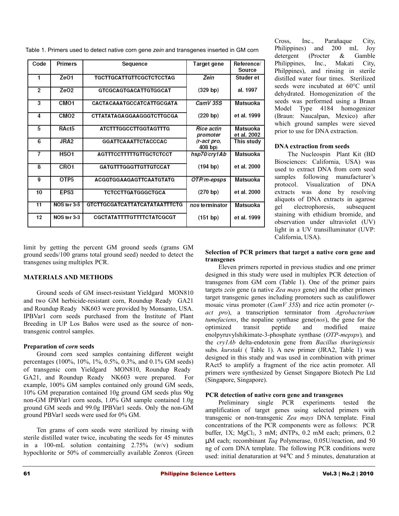| Table 1. Primers used to detect native corn gene zein and transgenes inserted in GM corn |  |
|------------------------------------------------------------------------------------------|--|
|                                                                                          |  |
|                                                                                          |  |

| Code           | Primers<br>Sequence                             |                                      | Target gene                   | Reference/<br>Source    |
|----------------|-------------------------------------------------|--------------------------------------|-------------------------------|-------------------------|
| 1              | ZeO <sub>1</sub>                                | <b>TGCTTGCATTGTTCGCTCTCCTAG</b>      | Zein                          | Studer et               |
| $\overline{2}$ | ZeO <sub>2</sub>                                | <b>GTCGCAGTGACATTGTGGCAT</b>         | (329 <sub>bp</sub> )          | al. 1997                |
| 3              | CM <sub>O1</sub>                                | CACTACAAATGCCATCATTGCGATA            | CamV 35S                      | Matsuoka                |
| 4              | CM <sub>O2</sub>                                | CTTATATAGAGGAAGGGTCTTGCGA            | (220 b)                       | et al. 1999             |
| 5              | RAct <sub>5</sub>                               | <b>ATCTTTGGCCTTGGTAGTTTG</b>         | <b>Rice actin</b><br>promoter | Matsuoka<br>et al. 2002 |
| 6              | JRA <sub>2</sub>                                | <b>GGATTCAAATTCTACCCAC</b>           | (r-act pro,<br>$408$ bp)      | This study              |
| 7              | HSO <sub>1</sub>                                | <b>AGTTTCCTTTTTGTTGCTCTCCT</b>       | hsp70/cry1Ab                  | <b>Matsuoka</b>         |
| 8              | CRO <sub>1</sub>                                | <b>GATGTTTGGGTTGTTGTCCAT</b>         | (194 b)                       | et al. 2000             |
| 9              | OTP <sub>5</sub>                                | <b>ACGGTGGAAGAGTTCAATGTATG</b>       | OTP/m-epsps                   | Matsuoka                |
| 10             | EPS3                                            | <b>TCTCCTTGATGGGCTGCA</b>            | $(270$ bp)                    | et al. 2000             |
| 11             | NOS ter 3-5                                     | <b>GTCTTGCGATCATTATCATATAATTTCTG</b> | nos terminator                | Matsuoka                |
| 12             | NOS ter 3-3<br><b>CGCTATATTTTGTTTTCTATCGCGT</b> |                                      | (151 bp)                      | et al. 1999             |

limit by getting the percent GM ground seeds (grams GM ground seeds/100 grams total ground seed) needed to detect the transgenes using multiplex PCR.

#### **MATERIALS AND METHODS**

Ground seeds of GM insect-resistant Yieldgard MON810 and two GM herbicide-resistant corn, Roundup Ready GA21 and Roundup Ready® NK603 were provided by Monsanto, USA. IPBVar1 corn seeds purchased from the Institute of Plant Breeding in UP Los Baños were used as the source of nontransgenic control samples.

#### **Preparation of** *corn* **seeds**

Ground corn seed samples containing different weight percentages (100%, 10%, 1%, 0.5%, 0.3%, and 0.1% GM seeds) of transgenic corn Yieldgard® MON810, Roundup Ready® GA21, and Roundup Ready NK603 were prepared. For example, 100% GM samples contained only ground GM seeds, 10% GM preparation contained 10g ground GM seeds plus 90g non-GM IPBVar1 corn seeds, 1.0% GM sample contained 1.0g ground GM seeds and 99.0g IPBVar1 seeds. Only the non-GM ground PBVar1 seeds were used for 0% GM.

Ten grams of corn seeds were sterilized by rinsing with sterile distilled water twice, incubating the seeds for 45 minutes in a 100-mL solution containing 2.75% (w/v) sodium hypochlorite or 50% of commercially available Zonrox (Green

Cross, Inc., Parañaque City, Philippines) and 200 mL Joy detergent (Procter & Gamble Philippines, Inc., Makati City, Philppines), and rinsing in sterile distilled water four times. Sterilized seeds were incubated at 60°C until dehydrated. Homogenization of the seeds was performed using a Braun Model Type 4184 homogenizer (Braun: Naucalpan, Mexico) after which ground samples were sieved prior to use for DNA extraction.

#### **DNA extraction from seeds**

The Nucleospin Plant Kit (BD Biosciences: California, USA) was used to extract DNA from corn seed samples following manufacturer's protocol. Visualization of DNA extracts was done by resolving aliquots of DNA extracts in agarose gel electrophoresis, subsequent staining with ethidium bromide, and observation under ultraviolet (UV) light in a UV transilluminator (UVP: California, USA).

#### **Selection of PCR primers that target a native corn gene and transgenes**

Eleven primers reported in previous studies and one primer designed in this study were used in multiplex PCR detection of transgenes from GM corn (Table 1). One of the primer pairs targets *zein* gene (a native *Zea mays* gene) and the other primers target transgenic genes including promoters such as cauliflower mosaic virus promoter (*CamV 35S*) and rice actin promoter (*ract pro*), a transcription terminator from *Agrobacterium tumefaciens*, the nopaline synthase gene(*nos*), the gene for the optimized transit peptide and modified maize enolpyruvylshikimate-3-phosphate synthase (*OTP-mepsps*)*,* and the *cry1Ab* delta-endotoxin gene from *Bacillus thuringiensis* subs. *kurstaki* ( Table 1). A new primer (JRA2, Table 1) was designed in this study and was used in combination with primer RAct5 to amplify a fragment of the rice actin promoter. All primers were synthesized by Genset Singapore Biotech Pte Ltd (Singapore, Singapore).

#### **PCR detection of native corn gene and transgenes**

Preliminary single PCR experiments tested the amplification of target genes using selected primers with transgenic or non-transgenic *Zea mays* DNA template. Final concentrations of the PCR components were as follows: PCR buffer,  $1X$ ;  $MgCl<sub>2</sub>$ ,  $3$  mM; dNTPs,  $0.2$  mM each; primers,  $0.2$ µM each; recombinant *Taq* Polymerase, 0.05U/reaction, and 50 ng of corn DNA template. The following PCR conditions were used: initial denaturation at 94°C and 5 minutes, denaturation at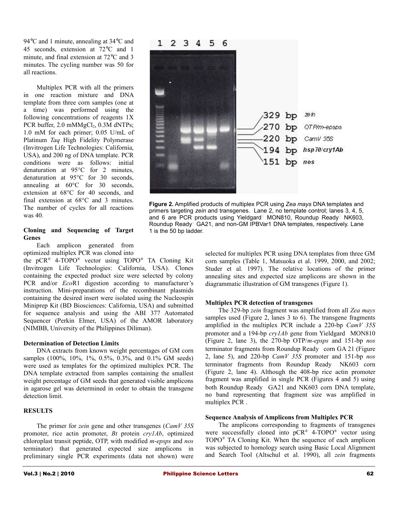94°C and 1 minute, annealing at 34°C and 45 seconds, extension at 72°C and 1 minute, and final extension at 72°C and 3 minutes. The cycling number was 50 for all reactions.

Multiplex PCR with all the primers in one reaction mixture and DNA template from three corn samples (one at a time) was performed using the following concentrations of reagents 1X PCR buffer, 2.0 mMMgCl<sub>2</sub>, 0.3M dNTPs; 1.0 mM for each primer; 0.05 U/mL of Platinum *Taq* High Fidelity Polymerase (Invitrogen Life Technologies: California, USA), and 200 ng of DNA template. PCR conditions were as follows: initial denaturation at 95°C for 2 minutes, denaturation at 95°C for 30 seconds, annealing at 60°C for 30 seconds, extension at 68°C for 40 seconds, and final extension at 68°C and 3 minutes. The number of cycles for all reactions was 40.

#### **Cloning and Sequencing of Target Genes**

Each amplicon generated from optimized multiplex PCR was cloned into

the pCR® 4-TOPO® vector using TOPO® TA Cloning Kit (Invitrogen Life Technologies: California, USA). Clones containing the expected product size were selected by colony PCR and/or *Eco*R1 digestion according to manufacturer's instruction. Mini-preparations of the recombinant plasmids containing the desired insert were isolated using the Nucleospin Miniprep Kit (BD Biosciences: California, USA) and submitted for sequence analysis and using the ABI 377 Automated Sequencer (Perkin Elmer, USA) of the AMOR laboratory (NIMBB, University of the Philippines Diliman).

#### **Determination of Detection Limits**

DNA extracts from known weight percentages of GM corn samples (100%, 10%, 1%, 0.5%, 0.3%, and 0.1% GM seeds) were used as templates for the optimized multiplex PCR. The DNA template extracted from samples containing the smallest weight percentage of GM seeds that generated visible amplicons in agarose gel was determined in order to obtain the transgene detection limit.

#### **RESULTS**

The primer for *zein* gene and other transgenes (*CamV 35S* promoter, rice actin promoter, *Bt* protein *cry1Ab*, optimized chloroplast transit peptide, OTP, with modified *m*-*epsps* and *nos* terminator) that generated expected size amplicons in preliminary single PCR experiments (data not shown) were



**Figure 2.** Amplified products of multiplex PCR using *Zea mays* DNA templates and primers targeting *zein* and transgenes. Lane 2, no template control; lanes 3, 4, 5, and 6 are PCR products using Yieldgard<sup>n</sup> MON810, Roundup Ready<sup>n</sup> NK603, Roundup Ready<sup>n</sup> GA21, and non-GM IPBVar1 DNA templates, respectively. Lane 1 is the 50 bp ladder.

selected for multiplex PCR using DNA templates from three GM corn samples (Table 1, Matsuoka et al. 1999, 2000, and 2002; Studer et al*.* 1997). The relative locations of the primer annealing sites and expected size amplicons are shown in the diagrammatic illustration of GM transgenes (Figure 1).

#### **Multiplex PCR detection of transgenes**

The 329-bp *zein* fragment was amplified from all *Zea mays* samples used (Figure 2, lanes 3 to 6). The transgene fragments amplified in the multiplex PCR include a 220-bp *CamV 35S* promoter and a 194-bp *cry1Ab* gene from Yieldgard<sup>®</sup> MON810 (Figure 2, lane 3), the 270-bp OTP/*m-epsps* and 151-bp *nos* terminator fragments from Roundup Ready® corn GA 21 (Figure 2, lane 5), and 220-bp *CamV 35S* promoter and 151-bp *nos* terminator fragments from Roundup Ready NK603 corn (Figure 2, lane 4). Although the 408-bp rice actin promoter fragment was amplified in single PCR (Figures 4 and 5) using both Roundup Ready GA21 and NK603 corn DNA template, no band representing that fragment size was amplified in multiplex PCR .

#### **Sequence Analysis of Amplicons from Multiplex PCR**

The amplicons corresponding to fragments of transgenes were successfully cloned into  $pCR^{\otimes}$  4-TOPO<sup>®</sup> vector using TOPO® TA Cloning Kit. When the sequence of each amplicon was subjected to homology search using Basic Local Alignment and Search Tool (Altschul et al. 1990), all *zein* fragments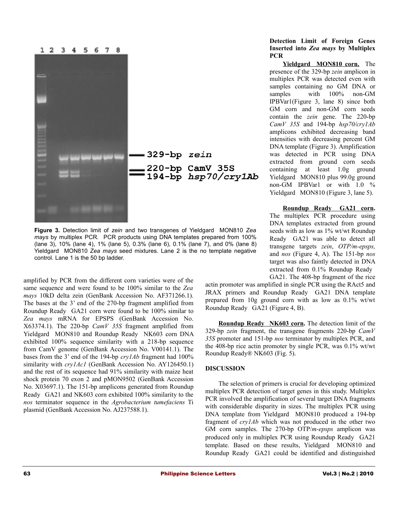

**Figure 3.** Detection limit of *zein* and two transgenes of Yieldgard MON810 *Zea mays* by multiplex PCR*.* PCR products using DNA templates prepared from 100% (lane 3), 10% (lane 4), 1% (lane 5), 0.3% (lane 6), 0.1% (lane 7), and 0% (lane 8) Yieldgard MON810 *Zea mays* seed mixtures. Lane 2 is the no template negative control. Lane 1 is the 50 bp ladder.

amplified by PCR from the different corn varieties were of the same sequence and were found to be 100% similar to the *Zea mays* 10kD delta zein (GenBank Accession No. AF371266.1). The bases at the 3' end of the 270-bp fragment amplified from Roundup Ready<sup>®</sup> GA21 corn were found to be 100% similar to *Zea mays* mRNA for EPSPS (GenBank Accession No. X63374.1). The 220-bp *CamV 35S* fragment amplified from Yieldgard<sup>®</sup> MON810 and Roundup Ready<sup>®</sup> NK603 corn DNA exhibited 100% sequence similarity with a 218-bp sequence from CamV genome (GenBank Accession No. V00141.1). The bases from the 3' end of the 194-bp *cry1Ab* fragment had 100% similarity with *cry1Ac1* (GenBank Accession No. AY126450.1) and the rest of its sequence had 91% similarity with maize heat shock protein 70 exon 2 and pMON9502 (GenBank Accession No. X03697.1). The 151-bp amplicons generated from Roundup Ready GA21 and NK603 corn exhibited 100% similarity to the *nos* terminator sequence in the *Agrobacterium tumefaciens* Ti plasmid (GenBank Accession No. AJ237588.1).

#### **Detection Limit of Foreign Genes Inserted into** *Zea mays* **by Multiplex PCR**

 **Yieldgard MON810 corn.** The presence of the 329-bp *zein* amplicon in multiplex PCR was detected even with samples containing no GM DNA or samples with  $100\%$  non-GM IPBVar1(Figure 3, lane 8) since both GM corn and non-GM corn seeds contain the *zein* gene. The 220-bp *CamV 35S* and 194-bp *hsp70/cry1Ab* amplicons exhibited decreasing band intensities with decreasing percent GM DNA template (Figure 3). Amplification was detected in PCR using DNA extracted from ground corn seeds containing at least 1.0g ground Yieldgard MON810 plus 99.0g ground non-GM IPBVar1 or with 1.0 % Yieldgard<sup>®</sup> MON810 (Figure 3, lane 5).

 **Roundup Ready GA21 corn.** The multiplex PCR procedure using DNA templates extracted from ground seeds with as low as 1% wt/wt Roundup Ready<sup>®</sup> GA21 was able to detect all transgene targets *zein*, *OTP/m-epsps,* and *nos* (Figure 4, A). The 151-bp *nos* target was also faintly detected in DNA extracted from 0.1% Roundup Ready GA21. The 408-bp fragment of the rice

actin promoter was amplified in single PCR using the RAct5 and JRAX primers and Roundup Ready GA21 DNA template prepared from 10g ground corn with as low as 0.1% wt/wt Roundup Ready GA21 (Figure 4, B).

**Roundup Ready<sup>®</sup> NK603 corn.** The detection limit of the 329-bp *zein* fragment, the transgene fragments 220-bp *CamV 35S* promoter and 151-bp *nos* terminator by multiplex PCR, and the 408-bp rice actin promoter by single PCR, was 0.1% wt/wt Roundup Ready® NK603 (Fig. 5).

#### **DISCUSSION**

The selection of primers is crucial for developing optimized multiplex PCR detection of target genes in this study. Multiplex PCR involved the amplification of several target DNA fragments with considerable disparity in sizes. The multiplex PCR using DNA template from Yieldgard MON810 produced a 194-bp fragment of *cry1Ab* which was not produced in the other two GM corn samples. The 270-bp OTP/*m-epsps* amplicon was produced only in multiplex PCR using Roundup Ready GA21 template. Based on these results, Yieldgard MON810 and Roundup Ready GA21 could be identified and distinguished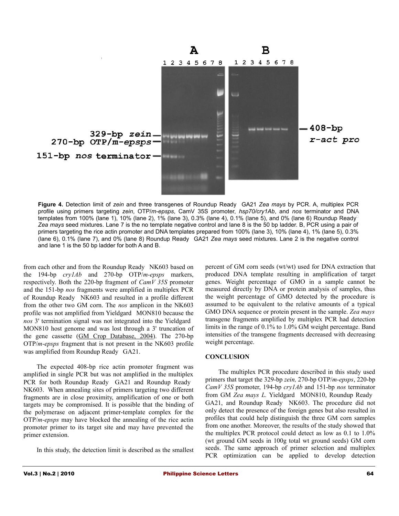

**Figure 4.** Detection limit of *zein* and three transgenes of Roundup Ready GA21 *Zea mays* by PCR. A, multiplex PCR profile using primers targeting *zein*, OTP/*m-epsps*, CamV 35S promoter, *hsp70/cry1Ab*, and *nos* terminator and DNA templates from 100% (lane 1), 10% (lane 2), 1% (lane 3), 0.3% (lane 4), 0.1% (lane 5), and 0% (lane 6) Roundup Ready *Zea mays* seed mixtures. Lane 7 is the no template negative control and lane 8 is the 50 bp ladder. B, PCR using a pair of primers targeting the rice actin promoter and DNA templates prepared from 100% (lane 3), 10% (lane 4), 1% (lane 5), 0.3% (lane 6), 0.1% (lane 7), and 0% (lane 8) Roundup Ready<sup>®</sup> GA21 *Zea mays* seed mixtures. Lane 2 is the negative control and lane 1 is the 50 bp ladder for both A and B.

from each other and from the Roundup Ready® NK603 based on the 194-bp *cry1Ab* and 270-bp OTP/*m-epsps* markers, respectively. Both the 220-bp fragment of *CamV 35S* promoter and the 151-bp *nos* fragments were amplified in multiplex PCR of Roundup Ready NK603 and resulted in a profile different from the other two GM corn. The *nos* amplicon in the NK603 profile was not amplified from Yieldgard MON810 because the nos 3' termination signal was not integrated into the Yieldgard<sup>®</sup> MON810 host genome and was lost through a 3' truncation of the gene cassette [\(GM Crop Database, 2004\)](http://www.agbios.com/). The 270-bp OTP/*m-epsps* fragment that is not present in the NK603 profile was amplified from Roundup Ready GA21.

The expected 408-bp rice actin promoter fragment was amplified in single PCR but was not amplified in the multiplex PCR for both Roundup Ready® GA21 and Roundup Ready® NK603. When annealing sites of primers targeting two different fragments are in close proximity, amplification of one or both targets may be compromised. It is possible that the binding of the polymerase on adjacent primer-template complex for the OTP/*m-epsps* may have blocked the annealing of the rice actin promoter primer to its target site and may have prevented the primer extension.

In this study, the detection limit is described as the smallest

percent of GM corn seeds (wt/wt) used for DNA extraction that produced DNA template resulting in amplification of target genes. Weight percentage of GMO in a sample cannot be measured directly by DNA or protein analysis of samples, thus the weight percentage of GMO detected by the procedure is assumed to be equivalent to the relative amounts of a typical GMO DNA sequence or protein present in the sample. *Zea mays* transgene fragments amplified by multiplex PCR had detection limits in the range of 0.1% to 1.0% GM weight percentage. Band intensities of the transgene fragments decreased with decreasing weight percentage.

#### **CONCLUSION**

The multiplex PCR procedure described in this study used primers that target the 329-bp *zein,* 270-bp OTP/*m-epsps*, 220-bp *CamV 35S* promoter, 194-bp *cry1Ab* and 151-bp *nos* terminator from GM *Zea mays L.* Yieldgard® MON810, Roundup Ready® GA21, and Roundup Ready® NK603. The procedure did not only detect the presence of the foreign genes but also resulted in profiles that could help distinguish the three GM corn samples from one another. Moreover, the results of the study showed that the multiplex PCR protocol could detect as low as 0.1 to 1.0% (wt ground GM seeds in 100g total wt ground seeds) GM corn seeds. The same approach of primer selection and multiplex PCR optimization can be applied to develop detection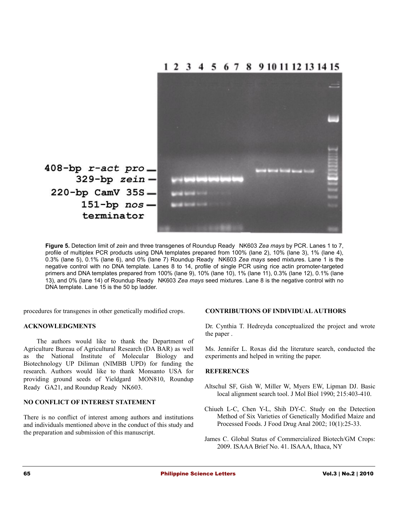

**Figure 5.** Detection limit of *zein* and three transgenes of Roundup Ready NK603 *Zea mays* by PCR. Lanes 1 to 7, profile of multiplex PCR products using DNA templates prepared from 100% (lane 2), 10% (lane 3), 1% (lane 4), 0.3% (lane 5), 0.1% (lane 6), and 0% (lane 7) Roundup Ready NK603 *Zea mays* seed mixtures. Lane 1 is the negative control with no DNA template. Lanes 8 to 14, profile of single PCR using rice actin promoter-targeted primers and DNA templates prepared from 100% (lane 9), 10% (lane 10), 1% (lane 11), 0.3% (lane 12), 0.1% (lane 13), and 0% (lane 14) of Roundup Ready® NK603 Zea mays seed mixtures. Lane 8 is the negative control with no DNA template. Lane 15 is the 50 bp ladder.

procedures for transgenes in other genetically modified crops.

#### **ACKNOWLEDGMENTS**

The authors would like to thank the Department of Agriculture Bureau of Agricultural Research (DA BAR) as well as the National Institute of Molecular Biology and Biotechnology UP Diliman (NIMBB UPD) for funding the research. Authors would like to thank Monsanto USA for providing ground seeds of Yieldgard MON810, Roundup Ready<sup>®</sup> GA21, and Roundup Ready<sup>®</sup> NK603.

#### **NO CONFLICT OF INTEREST STATEMENT**

There is no conflict of interest among authors and institutions and individuals mentioned above in the conduct of this study and the preparation and submission of this manuscript.

#### **CONTRIBUTIONS OF INDIVIDUAL AUTHORS**

Dr. Cynthia T. Hedreyda conceptualized the project and wrote the paper .

Ms. Jennifer L. Roxas did the literature search, conducted the experiments and helped in writing the paper.

#### **REFERENCES**

- Altschul SF, Gish W, Miller W, Myers EW, Lipman DJ. Basic local alignment search tool. J Mol Biol 1990; 215:403-410.
- Chiueh L-C, Chen Y-L, Shih DY-C. Study on the Detection Method of Six Varieties of Genetically Modified Maize and Processed Foods. J Food Drug Anal 2002; 10(1):25-33.
- James C. Global Status of Commercialized Biotech/GM Crops: 2009. ISAAA Brief No. 41. ISAAA, Ithaca, NY